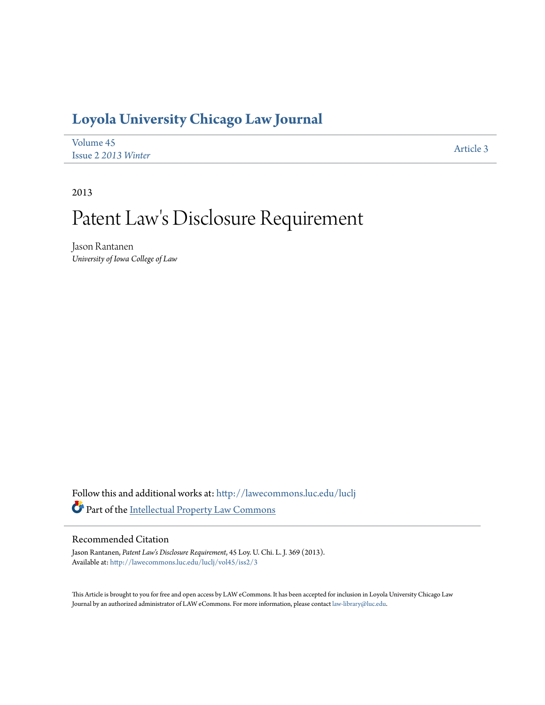## **[Loyola University Chicago Law Journal](http://lawecommons.luc.edu/luclj?utm_source=lawecommons.luc.edu%2Fluclj%2Fvol45%2Fiss2%2F3&utm_medium=PDF&utm_campaign=PDFCoverPages)**

| Volume 45           | Article 3 |
|---------------------|-----------|
| Issue 2 2013 Winter |           |

2013

# Patent Law 's Disclosure Requirement

Jason Rantanen *University of Iowa College of Law*

Follow this and additional works at: [http://lawecommons.luc.edu/luclj](http://lawecommons.luc.edu/luclj?utm_source=lawecommons.luc.edu%2Fluclj%2Fvol45%2Fiss2%2F3&utm_medium=PDF&utm_campaign=PDFCoverPages) Part of the [Intellectual Property Law Commons](http://network.bepress.com/hgg/discipline/896?utm_source=lawecommons.luc.edu%2Fluclj%2Fvol45%2Fiss2%2F3&utm_medium=PDF&utm_campaign=PDFCoverPages)

## Recommended Citation

Jason Rantanen, *Patent Law's Disclosure Requirement*, 45 Loy. U. Chi. L. J. 369 (2013). Available at: [http://lawecommons.luc.edu/luclj/vol45/iss2/3](http://lawecommons.luc.edu/luclj/vol45/iss2/3?utm_source=lawecommons.luc.edu%2Fluclj%2Fvol45%2Fiss2%2F3&utm_medium=PDF&utm_campaign=PDFCoverPages)

This Article is brought to you for free and open access by LAW eCommons. It has been accepted for inclusion in Loyola University Chicago Law Journal by an authorized administrator of LAW eCommons. For more information, please contact [law-library@luc.edu.](mailto:law-library@luc.edu)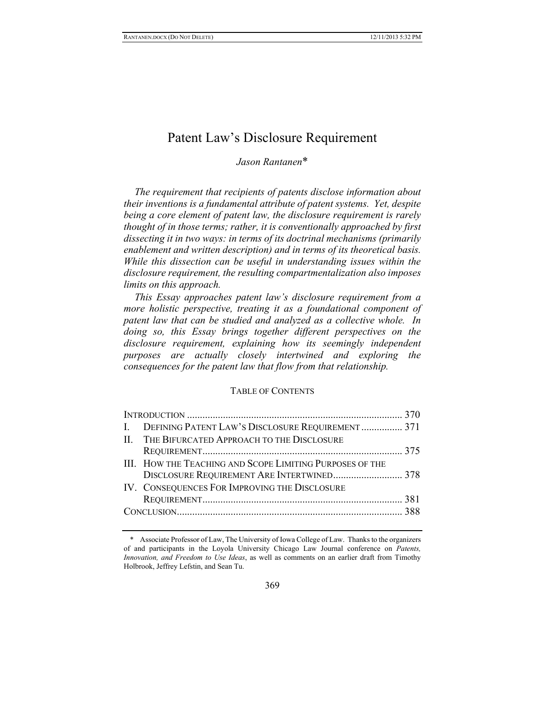## Patent Law's Disclosure Requirement

## *Jason Rantanen*\*

*The requirement that recipients of patents disclose information about their inventions is a fundamental attribute of patent systems. Yet, despite being a core element of patent law, the disclosure requirement is rarely thought of in those terms; rather, it is conventionally approached by first dissecting it in two ways: in terms of its doctrinal mechanisms (primarily enablement and written description) and in terms of its theoretical basis. While this dissection can be useful in understanding issues within the disclosure requirement, the resulting compartmentalization also imposes limits on this approach.* 

*This Essay approaches patent law's disclosure requirement from a more holistic perspective, treating it as a foundational component of patent law that can be studied and analyzed as a collective whole. In doing so, this Essay brings together different perspectives on the disclosure requirement, explaining how its seemingly independent purposes are actually closely intertwined and exploring the consequences for the patent law that flow from that relationship.* 

#### TABLE OF CONTENTS

| I. DEFINING PATENT LAW'S DISCLOSURE REQUIREMENT  371     |  |
|----------------------------------------------------------|--|
| II. THE BIFURCATED APPROACH TO THE DISCLOSURE            |  |
|                                                          |  |
| III. HOW THE TEACHING AND SCOPE LIMITING PURPOSES OF THE |  |
| DISCLOSURE REQUIREMENT ARE INTERTWINED 378               |  |
| IV. CONSEQUENCES FOR IMPROVING THE DISCLOSURE            |  |
|                                                          |  |
|                                                          |  |
|                                                          |  |

<sup>\*</sup> Associate Professor of Law, The University of Iowa College of Law. Thanks to the organizers of and participants in the Loyola University Chicago Law Journal conference on *Patents, Innovation, and Freedom to Use Ideas*, as well as comments on an earlier draft from Timothy Holbrook, Jeffrey Lefstin, and Sean Tu.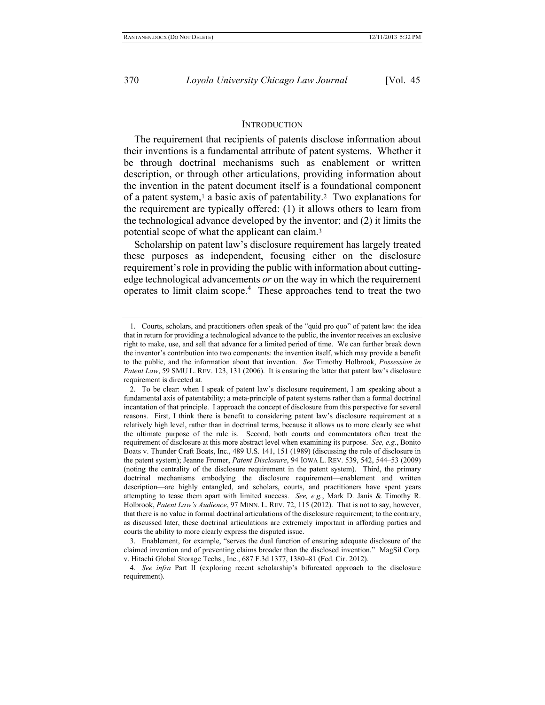#### <span id="page-2-1"></span><span id="page-2-0"></span>**INTRODUCTION**

The requirement that recipients of patents disclose information about their inventions is a fundamental attribute of patent systems. Whether it be through doctrinal mechanisms such as enablement or written description, or through other articulations, providing information about the invention in the patent document itself is a foundational component of a patent system, <sup>1</sup> a basic axis of patentability.2 Two explanations for the requirement are typically offered: (1) it allows others to learn from the technological advance developed by the inventor; and (2) it limits the potential scope of what the applicant can claim.<sup>3</sup>

Scholarship on patent law's disclosure requirement has largely treated these purposes as independent, focusing either on the disclosure requirement's role in providing the public with information about cuttingedge technological advancements *or* on the way in which the requirement operates to limit claim scope.<sup>4</sup> These approaches tend to treat the two

<sup>1.</sup> Courts, scholars, and practitioners often speak of the "quid pro quo" of patent law: the idea that in return for providing a technological advance to the public, the inventor receives an exclusive right to make, use, and sell that advance for a limited period of time. We can further break down the inventor's contribution into two components: the invention itself, which may provide a benefit to the public, and the information about that invention. *See* Timothy Holbrook, *Possession in Patent Law*, 59 SMU L. REV. 123, 131 (2006). It is ensuring the latter that patent law's disclosure requirement is directed at.

<sup>2.</sup> To be clear: when I speak of patent law's disclosure requirement, I am speaking about a fundamental axis of patentability; a meta-principle of patent systems rather than a formal doctrinal incantation of that principle. I approach the concept of disclosure from this perspective for several reasons. First, I think there is benefit to considering patent law's disclosure requirement at a relatively high level, rather than in doctrinal terms, because it allows us to more clearly see what the ultimate purpose of the rule is. Second, both courts and commentators often treat the requirement of disclosure at this more abstract level when examining its purpose. *See, e.g.*, Bonito Boats v. Thunder Craft Boats, Inc., 489 U.S. 141, 151 (1989) (discussing the role of disclosure in the patent system); Jeanne Fromer, *Patent Disclosure*, 94 IOWA L. REV. 539, 542, 544–53 (2009) (noting the centrality of the disclosure requirement in the patent system). Third, the primary doctrinal mechanisms embodying the disclosure requirement—enablement and written description—are highly entangled, and scholars, courts, and practitioners have spent years attempting to tease them apart with limited success. *See, e.g.*, Mark D. Janis & Timothy R. Holbrook, *Patent Law's Audience*, 97 MINN. L. REV. 72, 115 (2012). That is not to say, however, that there is no value in formal doctrinal articulations of the disclosure requirement; to the contrary, as discussed later, these doctrinal articulations are extremely important in affording parties and courts the ability to more clearly express the disputed issue.

<sup>3.</sup> Enablement, for example, "serves the dual function of ensuring adequate disclosure of the claimed invention and of preventing claims broader than the disclosed invention." MagSil Corp. v. Hitachi Global Storage Techs., Inc., 687 F.3d 1377, 1380–81 (Fed. Cir. 2012).

<sup>4.</sup> *See infra* Part II (exploring recent scholarship's bifurcated approach to the disclosure requirement).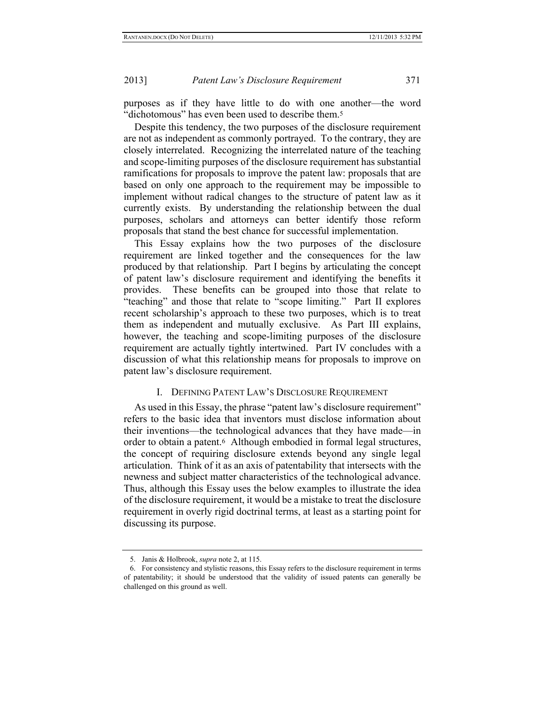purposes as if they have little to do with one another—the word "dichotomous" has even been used to describe them.<sup>5</sup>

Despite this tendency, the two purposes of the disclosure requirement are not as independent as commonly portrayed. To the contrary, they are closely interrelated. Recognizing the interrelated nature of the teaching and scope-limiting purposes of the disclosure requirement has substantial ramifications for proposals to improve the patent law: proposals that are based on only one approach to the requirement may be impossible to implement without radical changes to the structure of patent law as it currently exists. By understanding the relationship between the dual purposes, scholars and attorneys can better identify those reform proposals that stand the best chance for successful implementation.

This Essay explains how the two purposes of the disclosure requirement are linked together and the consequences for the law produced by that relationship. Part I begins by articulating the concept of patent law's disclosure requirement and identifying the benefits it provides. These benefits can be grouped into those that relate to "teaching" and those that relate to "scope limiting." Part II explores recent scholarship's approach to these two purposes, which is to treat them as independent and mutually exclusive. As Part III explains, however, the teaching and scope-limiting purposes of the disclosure requirement are actually tightly intertwined. Part IV concludes with a discussion of what this relationship means for proposals to improve on patent law's disclosure requirement.

#### I. DEFINING PATENT LAW'S DISCLOSURE REQUIREMENT

As used in this Essay, the phrase "patent law's disclosure requirement" refers to the basic idea that inventors must disclose information about their inventions—the technological advances that they have made—in order to obtain a patent.6 Although embodied in formal legal structures, the concept of requiring disclosure extends beyond any single legal articulation. Think of it as an axis of patentability that intersects with the newness and subject matter characteristics of the technological advance. Thus, although this Essay uses the below examples to illustrate the idea of the disclosure requirement, it would be a mistake to treat the disclosure requirement in overly rigid doctrinal terms, at least as a starting point for discussing its purpose.

<sup>5.</sup> Janis & Holbrook, *supra* not[e 2,](#page-2-0) at 115.

<sup>6.</sup> For consistency and stylistic reasons, this Essay refers to the disclosure requirement in terms of patentability; it should be understood that the validity of issued patents can generally be challenged on this ground as well.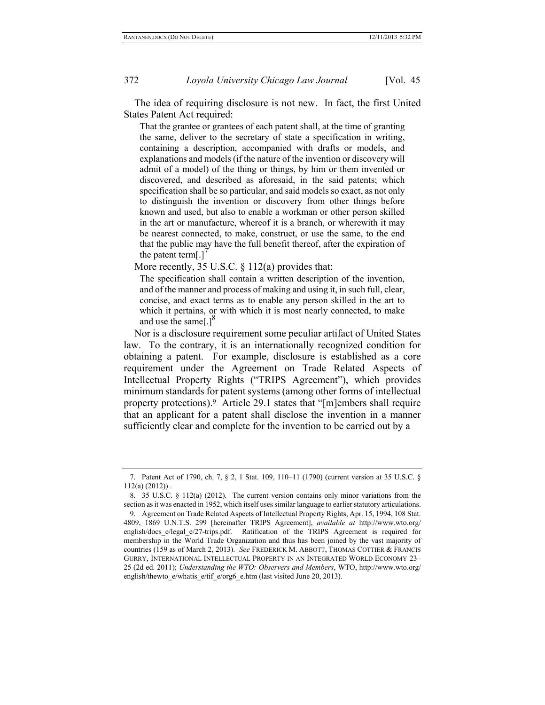The idea of requiring disclosure is not new. In fact, the first United States Patent Act required:

That the grantee or grantees of each patent shall, at the time of granting the same, deliver to the secretary of state a specification in writing, containing a description, accompanied with drafts or models, and explanations and models (if the nature of the invention or discovery will admit of a model) of the thing or things, by him or them invented or discovered, and described as aforesaid, in the said patents; which specification shall be so particular, and said models so exact, as not only to distinguish the invention or discovery from other things before known and used, but also to enable a workman or other person skilled in the art or manufacture, whereof it is a branch, or wherewith it may be nearest connected, to make, construct, or use the same, to the end that the public may have the full benefit thereof, after the expiration of the patent term[.]'

More recently, 35 U.S.C. § 112(a) provides that:

The specification shall contain a written description of the invention, and of the manner and process of making and using it, in such full, clear, concise, and exact terms as to enable any person skilled in the art to which it pertains, or with which it is most nearly connected, to make and use the same[.] $^8$ 

<span id="page-4-0"></span>Nor is a disclosure requirement some peculiar artifact of United States law. To the contrary, it is an internationally recognized condition for obtaining a patent. For example, disclosure is established as a core requirement under the Agreement on Trade Related Aspects of Intellectual Property Rights ("TRIPS Agreement"), which provides minimum standards for patent systems (among other forms of intellectual property protections).9 Article 29.1 states that "[m]embers shall require that an applicant for a patent shall disclose the invention in a manner sufficiently clear and complete for the invention to be carried out by a

<sup>7.</sup> Patent Act of 1790, ch. 7, § 2, 1 Stat. 109, 110–11 (1790) (current version at 35 U.S.C. §  $112(a) (2012)$ .

<sup>8.</sup> 35 U.S.C. § 112(a) (2012). The current version contains only minor variations from the section as it was enacted in 1952, which itself uses similar language to earlier statutory articulations.

<sup>9.</sup> Agreement on Trade Related Aspects of Intellectual Property Rights, Apr. 15, 1994, 108 Stat. 4809, 1869 U.N.T.S. 299 [hereinafter TRIPS Agreement], *available at* http://www.wto.org/ english/docs e/legal e/27-trips.pdf. Ratification of the TRIPS Agreement is required for membership in the World Trade Organization and thus has been joined by the vast majority of countries (159 as of March 2, 2013). *See* FREDERICK M. ABBOTT, THOMAS COTTIER & FRANCIS GURRY, INTERNATIONAL INTELLECTUAL PROPERTY IN AN INTEGRATED WORLD ECONOMY 23– 25 (2d ed. 2011); *Understanding the WTO: Observers and Members*, WTO, http://www.wto.org/ english/thewto\_e/whatis\_e/tif\_e/org6\_e.htm (last visited June 20, 2013).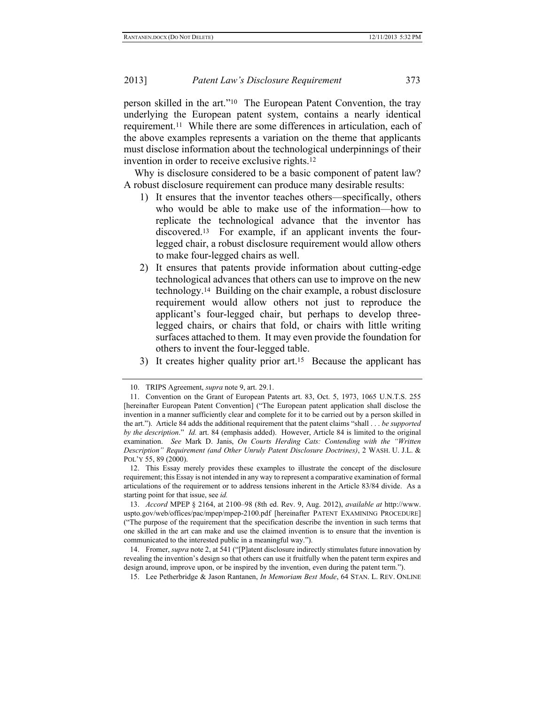person skilled in the art."10 The European Patent Convention, the tray underlying the European patent system, contains a nearly identical requirement.11 While there are some differences in articulation, each of the above examples represents a variation on the theme that applicants must disclose information about the technological underpinnings of their invention in order to receive exclusive rights.<sup>12</sup>

Why is disclosure considered to be a basic component of patent law? A robust disclosure requirement can produce many desirable results:

- <span id="page-5-0"></span>1) It ensures that the inventor teaches others—specifically, others who would be able to make use of the information—how to replicate the technological advance that the inventor has discovered. <sup>13</sup> For example, if an applicant invents the fourlegged chair, a robust disclosure requirement would allow others to make four-legged chairs as well.
- 2) It ensures that patents provide information about cutting-edge technological advances that others can use to improve on the new technology.14 Building on the chair example, a robust disclosure requirement would allow others not just to reproduce the applicant's four-legged chair, but perhaps to develop threelegged chairs, or chairs that fold, or chairs with little writing surfaces attached to them. It may even provide the foundation for others to invent the four-legged table.
- 3) It creates higher quality prior art.15 Because the applicant has

15. Lee Petherbridge & Jason Rantanen, *In Memoriam Best Mode*, 64 STAN. L. REV. ONLINE

<sup>10.</sup> TRIPS Agreement, *supra* not[e 9,](#page-4-0) art. 29.1.

<sup>11.</sup> Convention on the Grant of European Patents art. 83, Oct. 5, 1973, 1065 U.N.T.S. 255 [hereinafter European Patent Convention] ("The European patent application shall disclose the invention in a manner sufficiently clear and complete for it to be carried out by a person skilled in the art."). Article 84 adds the additional requirement that the patent claims "shall . . . *be supported by the description*." *Id.* art. 84 (emphasis added). However, Article 84 is limited to the original examination. *See* Mark D. Janis, *On Courts Herding Cats: Contending with the "Written Description" Requirement (and Other Unruly Patent Disclosure Doctrines)*, 2 WASH. U. J.L. & POL'Y 55, 89 (2000).

<sup>12.</sup> This Essay merely provides these examples to illustrate the concept of the disclosure requirement; this Essay is not intended in any way to represent a comparative examination of formal articulations of the requirement or to address tensions inherent in the Article 83/84 divide. As a starting point for that issue, see *id.* 

<sup>13.</sup> *Accord* MPEP § 2164, at 2100–98 (8th ed. Rev. 9, Aug. 2012), *available at* http://www. uspto.gov/web/offices/pac/mpep/mpep-2100.pdf [hereinafter PATENT EXAMINING PROCEDURE] ("The purpose of the requirement that the specification describe the invention in such terms that one skilled in the art can make and use the claimed invention is to ensure that the invention is communicated to the interested public in a meaningful way.").

<sup>14.</sup> Fromer, *supra* not[e 2,](#page-2-0) at 541 ("[P]atent disclosure indirectly stimulates future innovation by revealing the invention's design so that others can use it fruitfully when the patent term expires and design around, improve upon, or be inspired by the invention, even during the patent term.").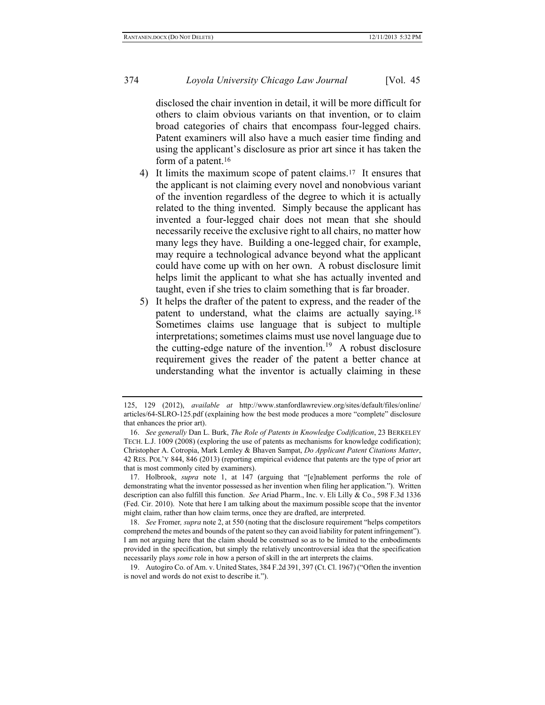disclosed the chair invention in detail, it will be more difficult for others to claim obvious variants on that invention, or to claim broad categories of chairs that encompass four-legged chairs. Patent examiners will also have a much easier time finding and using the applicant's disclosure as prior art since it has taken the form of a patent.<sup>16</sup>

- 4) It limits the maximum scope of patent claims.17 It ensures that the applicant is not claiming every novel and nonobvious variant of the invention regardless of the degree to which it is actually related to the thing invented. Simply because the applicant has invented a four-legged chair does not mean that she should necessarily receive the exclusive right to all chairs, no matter how many legs they have. Building a one-legged chair, for example, may require a technological advance beyond what the applicant could have come up with on her own. A robust disclosure limit helps limit the applicant to what she has actually invented and taught, even if she tries to claim something that is far broader.
- 5) It helps the drafter of the patent to express, and the reader of the patent to understand, what the claims are actually saying.<sup>18</sup> Sometimes claims use language that is subject to multiple interpretations; sometimes claims must use novel language due to the cutting-edge nature of the invention.<sup>19</sup> A robust disclosure requirement gives the reader of the patent a better chance at understanding what the inventor is actually claiming in these

<sup>125, 129 (2012),</sup> *available at* http://www.stanfordlawreview.org/sites/default/files/online/ articles/64-SLRO-125.pdf (explaining how the best mode produces a more "complete" disclosure that enhances the prior art).

<sup>16.</sup> *See generally* Dan L. Burk, *The Role of Patents in Knowledge Codification*, 23 BERKELEY TECH. L.J. 1009 (2008) (exploring the use of patents as mechanisms for knowledge codification); Christopher A. Cotropia, Mark Lemley & Bhaven Sampat, *Do Applicant Patent Citations Matter*, 42 RES. POL'Y 844, 846 (2013) (reporting empirical evidence that patents are the type of prior art that is most commonly cited by examiners).

<sup>17.</sup> Holbrook, *supra* note [1,](#page-2-1) at 147 (arguing that "[e]nablement performs the role of demonstrating what the inventor possessed as her invention when filing her application."). Written description can also fulfill this function. *See* Ariad Pharm., Inc. v. Eli Lilly & Co., 598 F.3d 1336 (Fed. Cir. 2010). Note that here I am talking about the maximum possible scope that the inventor might claim, rather than how claim terms, once they are drafted, are interpreted.

<sup>18.</sup> *See* Fromer*, supra* not[e 2,](#page-2-0) at 550 (noting that the disclosure requirement "helps competitors comprehend the metes and bounds of the patent so they can avoid liability for patent infringement"). I am not arguing here that the claim should be construed so as to be limited to the embodiments provided in the specification, but simply the relatively uncontroversial idea that the specification necessarily plays *some* role in how a person of skill in the art interprets the claims.

<sup>19.</sup> Autogiro Co. of Am. v. United States, 384 F.2d 391, 397 (Ct. Cl. 1967) ("Often the invention is novel and words do not exist to describe it.").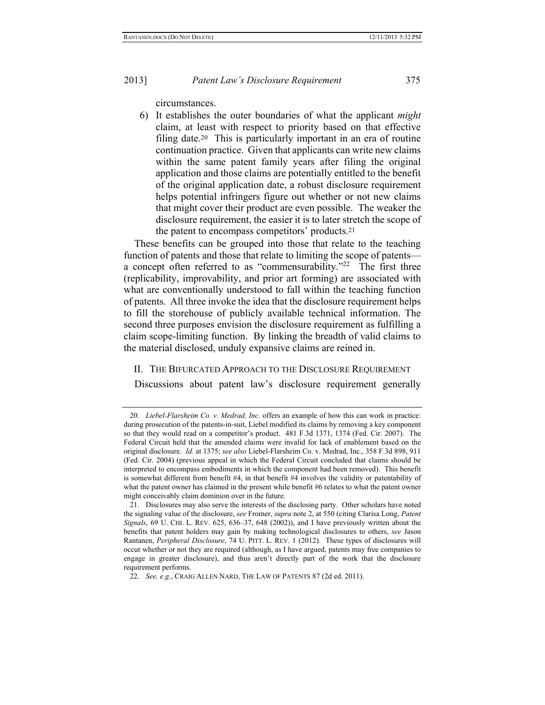circumstances.

6) It establishes the outer boundaries of what the applicant *might*  claim, at least with respect to priority based on that effective filing date.<sup>20</sup> This is particularly important in an era of routine continuation practice. Given that applicants can write new claims within the same patent family years after filing the original application and those claims are potentially entitled to the benefit of the original application date, a robust disclosure requirement helps potential infringers figure out whether or not new claims that might cover their product are even possible. The weaker the disclosure requirement, the easier it is to later stretch the scope of the patent to encompass competitors' products.<sup>21</sup>

<span id="page-7-1"></span><span id="page-7-0"></span>These benefits can be grouped into those that relate to the teaching function of patents and those that relate to limiting the scope of patents a concept often referred to as "commensurability."<sup>22</sup> The first three (replicability, improvability, and prior art forming) are associated with what are conventionally understood to fall within the teaching function of patents. All three invoke the idea that the disclosure requirement helps to fill the storehouse of publicly available technical information. The second three purposes envision the disclosure requirement as fulfilling a claim scope-limiting function. By linking the breadth of valid claims to the material disclosed, unduly expansive claims are reined in.

#### II. THE BIFURCATED APPROACH TO THE DISCLOSURE REQUIREMENT

Discussions about patent law's disclosure requirement generally

<sup>20.</sup> *Liebel-Flarsheim Co. v. Medrad, Inc.* offers an example of how this can work in practice: during prosecution of the patents-in-suit, Liebel modified its claims by removing a key component so that they would read on a competitor's product. 481 F.3d 1371, 1374 (Fed. Cir. 2007). The Federal Circuit held that the amended claims were invalid for lack of enablement based on the original disclosure. *Id.* at 1375; *see also* Liebel-Flarsheim Co. v. Medrad, Inc., 358 F.3d 898, 911 (Fed. Cir. 2004) (previous appeal in which the Federal Circuit concluded that claims should be interpreted to encompass embodiments in which the component had been removed). This benefit is somewhat different from benefit #4, in that benefit #4 involves the validity or patentability of what the patent owner has claimed in the present while benefit #6 relates to what the patent owner might conceivably claim dominion over in the future.

<sup>21.</sup> Disclosures may also serve the interests of the disclosing party. Other scholars have noted the signaling value of the disclosure, *see* Fromer, *supra* not[e 2,](#page-2-0) at 550 (citing Clarisa Long, *Patent Signals*, 69 U. CHI. L. REV. 625, 636–37, 648 (2002)), and I have previously written about the benefits that patent holders may gain by making technological disclosures to others, *see* Jason Rantanen, *Peripheral Disclosure*, 74 U. PITT. L. REV. 1 (2012). These types of disclosures will occur whether or not they are required (although, as I have argued, patents may free companies to engage in greater disclosure), and thus aren't directly part of the work that the disclosure requirement performs.

<sup>22.</sup> *See, e.g.*, CRAIG ALLEN NARD, THE LAW OF PATENTS 87 (2d ed. 2011).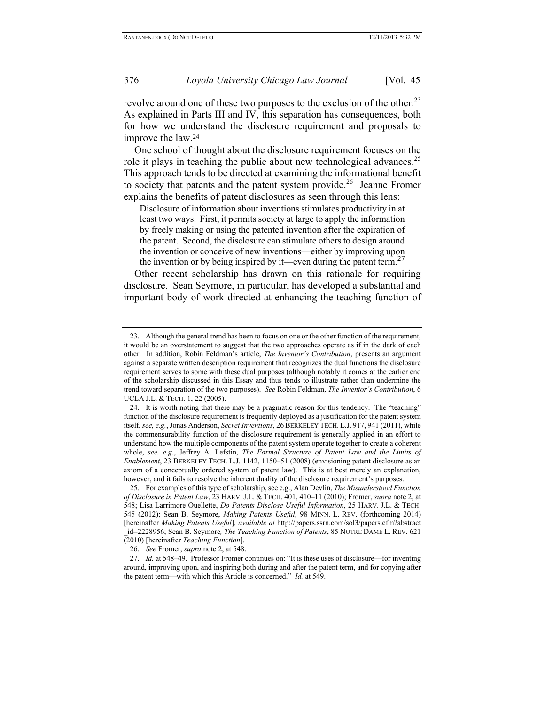<span id="page-8-2"></span>revolve around one of these two purposes to the exclusion of the other.<sup>23</sup> As explained in Parts III and IV, this separation has consequences, both for how we understand the disclosure requirement and proposals to improve the law.<sup>24</sup>

<span id="page-8-1"></span>One school of thought about the disclosure requirement focuses on the role it plays in teaching the public about new technological advances.<sup>25</sup> This approach tends to be directed at examining the informational benefit to society that patents and the patent system provide.<sup>26</sup> Jeanne Fromer explains the benefits of patent disclosures as seen through this lens:

<span id="page-8-0"></span>Disclosure of information about inventions stimulates productivity in at least two ways. First, it permits society at large to apply the information by freely making or using the patented invention after the expiration of the patent. Second, the disclosure can stimulate others to design around the invention or conceive of new inventions—either by improving upon the invention or by being inspired by it—even during the patent term.<sup>27</sup>

Other recent scholarship has drawn on this rationale for requiring disclosure. Sean Seymore, in particular, has developed a substantial and important body of work directed at enhancing the teaching function of

26. *See* Fromer, *supra* not[e 2,](#page-2-0) at 548.

<sup>23.</sup> Although the general trend has been to focus on one or the other function of the requirement, it would be an overstatement to suggest that the two approaches operate as if in the dark of each other. In addition, Robin Feldman's article, *The Inventor's Contribution*, presents an argument against a separate written description requirement that recognizes the dual functions the disclosure requirement serves to some with these dual purposes (although notably it comes at the earlier end of the scholarship discussed in this Essay and thus tends to illustrate rather than undermine the trend toward separation of the two purposes). *See* Robin Feldman, *The Inventor's Contribution*, 6 UCLA J.L. & TECH. 1, 22 (2005).

<sup>24.</sup> It is worth noting that there may be a pragmatic reason for this tendency. The "teaching" function of the disclosure requirement is frequently deployed as a justification for the patent system itself, *see, e.g.*, Jonas Anderson, *Secret Inventions*, 26 BERKELEY TECH. L.J. 917, 941 (2011), while the commensurability function of the disclosure requirement is generally applied in an effort to understand how the multiple components of the patent system operate together to create a coherent whole, *see, e.g.*, Jeffrey A. Lefstin, *The Formal Structure of Patent Law and the Limits of Enablement*, 23 BERKELEY TECH. L.J. 1142, 1150–51 (2008) (envisioning patent disclosure as an axiom of a conceptually ordered system of patent law). This is at best merely an explanation, however, and it fails to resolve the inherent duality of the disclosure requirement's purposes.

<sup>25.</sup> For examples of this type of scholarship, see e.g., Alan Devlin, *The Misunderstood Function of Disclosure in Patent Law*, 23 HARV. J.L. & TECH. 401, 410–11 (2010); Fromer, *supra* not[e 2,](#page-2-0) at 548; Lisa Larrimore Ouellette, *Do Patents Disclose Useful Information*, 25 HARV. J.L. & TECH. 545 (2012); Sean B. Seymore, *Making Patents Useful*, 98 MINN. L. REV. (forthcoming 2014) [hereinafter *Making Patents Useful*], *available at* http://papers.ssrn.com/sol3/papers.cfm?abstract \_id=2228956; Sean B. Seymore*, The Teaching Function of Patents*, 85 NOTRE DAME L. REV. 621 (2010) [hereinafter *Teaching Function*].

<sup>27.</sup> *Id.* at 548–49. Professor Fromer continues on: "It is these uses of disclosure—for inventing around, improving upon, and inspiring both during and after the patent term, and for copying after the patent term—with which this Article is concerned." *Id.* at 549.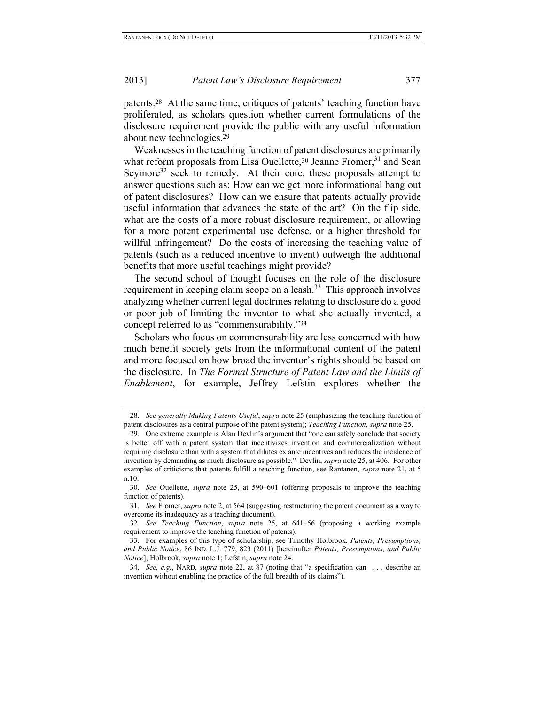patents.<sup>28</sup> At the same time, critiques of patents' teaching function have proliferated, as scholars question whether current formulations of the disclosure requirement provide the public with any useful information about new technologies.<sup>29</sup>

Weaknesses in the teaching function of patent disclosures are primarily what reform proposals from Lisa Ouellette,<sup>30</sup> Jeanne Fromer,<sup>31</sup> and Sean Seymore<sup>32</sup> seek to remedy. At their core, these proposals attempt to answer questions such as: How can we get more informational bang out of patent disclosures? How can we ensure that patents actually provide useful information that advances the state of the art? On the flip side, what are the costs of a more robust disclosure requirement, or allowing for a more potent experimental use defense, or a higher threshold for willful infringement? Do the costs of increasing the teaching value of patents (such as a reduced incentive to invent) outweigh the additional benefits that more useful teachings might provide?

<span id="page-9-0"></span>The second school of thought focuses on the role of the disclosure requirement in keeping claim scope on a leash. $33$  This approach involves analyzing whether current legal doctrines relating to disclosure do a good or poor job of limiting the inventor to what she actually invented, a concept referred to as "commensurability."<sup>34</sup>

Scholars who focus on commensurability are less concerned with how much benefit society gets from the informational content of the patent and more focused on how broad the inventor's rights should be based on the disclosure. In *The Formal Structure of Patent Law and the Limits of Enablement*, for example, Jeffrey Lefstin explores whether the

<sup>28.</sup> *See generally Making Patents Useful*, *supra* note [25](#page-8-0) (emphasizing the teaching function of patent disclosures as a central purpose of the patent system); *Teaching Function*, *supra* not[e 25.](#page-8-0)

<sup>29.</sup> One extreme example is Alan Devlin's argument that "one can safely conclude that society is better off with a patent system that incentivizes invention and commercialization without requiring disclosure than with a system that dilutes ex ante incentives and reduces the incidence of invention by demanding as much disclosure as possible." Devlin, *supra* not[e 25,](#page-8-0) at 406. For other examples of criticisms that patents fulfill a teaching function, see Rantanen, *supra* note [21,](#page-7-0) at 5 n.10.

<sup>30.</sup> *See* Ouellette, *supra* note [25,](#page-8-0) at 590–601 (offering proposals to improve the teaching function of patents).

<sup>31.</sup> *See* Fromer, *supra* not[e 2,](#page-2-0) at 564 (suggesting restructuring the patent document as a way to overcome its inadequacy as a teaching document).

<sup>32.</sup> *See Teaching Function*, *supra* note [25,](#page-8-0) at 641–56 (proposing a working example requirement to improve the teaching function of patents).

<sup>33.</sup> For examples of this type of scholarship, see Timothy Holbrook, *Patents, Presumptions, and Public Notice*, 86 IND. L.J. 779, 823 (2011) [hereinafter *Patents, Presumptions, and Public Notice*]; Holbrook, *supra* note [1;](#page-2-1) Lefstin, *supra* note [24.](#page-8-1)

<sup>34.</sup> *See, e.g.*, NARD, *supra* note [22,](#page-7-1) at 87 (noting that "a specification can . . . describe an invention without enabling the practice of the full breadth of its claims").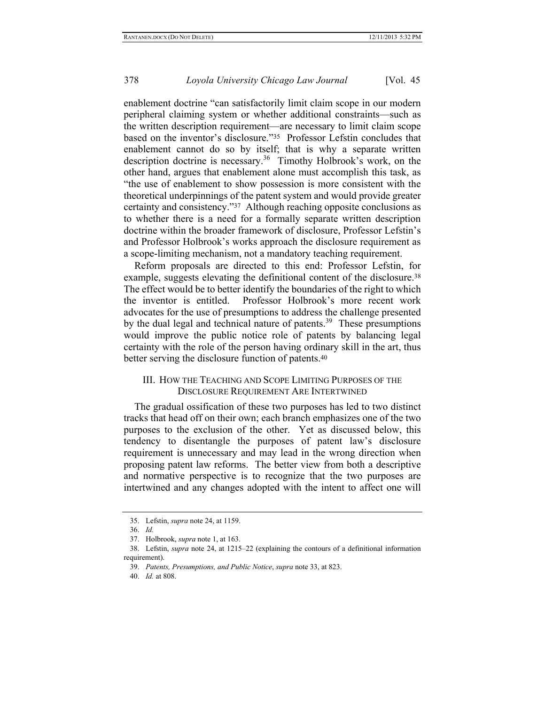enablement doctrine "can satisfactorily limit claim scope in our modern peripheral claiming system or whether additional constraints—such as the written description requirement—are necessary to limit claim scope based on the inventor's disclosure."35 Professor Lefstin concludes that enablement cannot do so by itself; that is why a separate written description doctrine is necessary.<sup>36</sup> Timothy Holbrook's work, on the other hand, argues that enablement alone must accomplish this task, as "the use of enablement to show possession is more consistent with the theoretical underpinnings of the patent system and would provide greater certainty and consistency."37 Although reaching opposite conclusions as to whether there is a need for a formally separate written description doctrine within the broader framework of disclosure, Professor Lefstin's and Professor Holbrook's works approach the disclosure requirement as a scope-limiting mechanism, not a mandatory teaching requirement.

Reform proposals are directed to this end: Professor Lefstin, for example, suggests elevating the definitional content of the disclosure.<sup>38</sup> The effect would be to better identify the boundaries of the right to which the inventor is entitled. Professor Holbrook's more recent work advocates for the use of presumptions to address the challenge presented by the dual legal and technical nature of patents.<sup>39</sup> These presumptions would improve the public notice role of patents by balancing legal certainty with the role of the person having ordinary skill in the art, thus better serving the disclosure function of patents.<sup>40</sup>

#### III. HOW THE TEACHING AND SCOPE LIMITING PURPOSES OF THE DISCLOSURE REQUIREMENT ARE INTERTWINED

The gradual ossification of these two purposes has led to two distinct tracks that head off on their own; each branch emphasizes one of the two purposes to the exclusion of the other. Yet as discussed below, this tendency to disentangle the purposes of patent law's disclosure requirement is unnecessary and may lead in the wrong direction when proposing patent law reforms. The better view from both a descriptive and normative perspective is to recognize that the two purposes are intertwined and any changes adopted with the intent to affect one will

<sup>35.</sup> Lefstin, *supra* not[e 24,](#page-8-1) at 1159.

<sup>36.</sup> *Id.*

<sup>37.</sup> Holbrook, *supra* not[e 1,](#page-2-1) at 163.

<sup>38.</sup> Lefstin, *supra* note [24,](#page-8-1) at 1215–22 (explaining the contours of a definitional information requirement).

<sup>39.</sup> *Patents, Presumptions, and Public Notice*, *supra* not[e 33,](#page-9-0) at 823.

<sup>40.</sup> *Id.* at 808.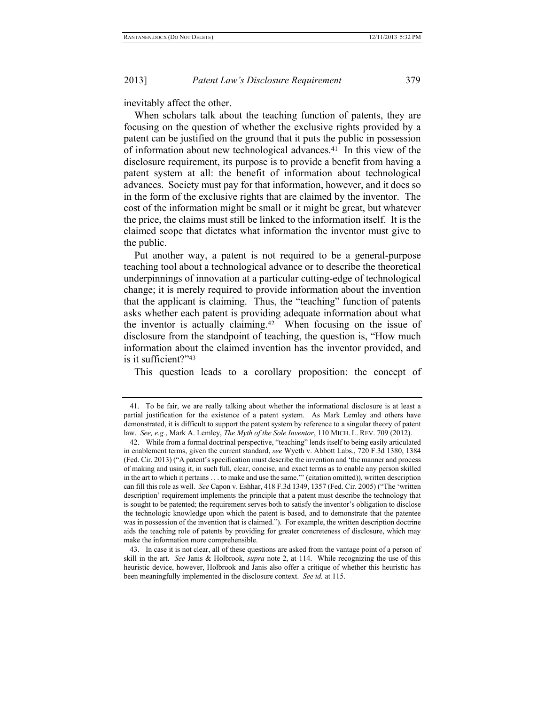inevitably affect the other.

When scholars talk about the teaching function of patents, they are focusing on the question of whether the exclusive rights provided by a patent can be justified on the ground that it puts the public in possession of information about new technological advances.41 In this view of the disclosure requirement, its purpose is to provide a benefit from having a patent system at all: the benefit of information about technological advances. Society must pay for that information, however, and it does so in the form of the exclusive rights that are claimed by the inventor. The cost of the information might be small or it might be great, but whatever the price, the claims must still be linked to the information itself. It is the claimed scope that dictates what information the inventor must give to the public.

Put another way, a patent is not required to be a general-purpose teaching tool about a technological advance or to describe the theoretical underpinnings of innovation at a particular cutting-edge of technological change; it is merely required to provide information about the invention that the applicant is claiming. Thus, the "teaching" function of patents asks whether each patent is providing adequate information about what the inventor is actually claiming.42 When focusing on the issue of disclosure from the standpoint of teaching, the question is, "How much information about the claimed invention has the inventor provided, and is it sufficient?"<sup>43</sup>

This question leads to a corollary proposition: the concept of

<sup>41.</sup> To be fair, we are really talking about whether the informational disclosure is at least a partial justification for the existence of a patent system. As Mark Lemley and others have demonstrated, it is difficult to support the patent system by reference to a singular theory of patent law. *See, e.g.*, Mark A. Lemley, *The Myth of the Sole Inventor*, 110 MICH. L. REV. 709 (2012).

<sup>42.</sup> While from a formal doctrinal perspective, "teaching" lends itself to being easily articulated in enablement terms, given the current standard, *see* Wyeth v. Abbott Labs., 720 F.3d 1380, 1384 (Fed. Cir. 2013) ("A patent's specification must describe the invention and 'the manner and process of making and using it, in such full, clear, concise, and exact terms as to enable any person skilled in the art to which it pertains . . . to make and use the same."' (citation omitted)), written description can fill this role as well. *See* Capon v. Eshhar, 418 F.3d 1349, 1357 (Fed. Cir. 2005) ("The 'written description' requirement implements the principle that a patent must describe the technology that is sought to be patented; the requirement serves both to satisfy the inventor's obligation to disclose the technologic knowledge upon which the patent is based, and to demonstrate that the patentee was in possession of the invention that is claimed."). For example, the written description doctrine aids the teaching role of patents by providing for greater concreteness of disclosure, which may make the information more comprehensible.

<sup>43.</sup> In case it is not clear, all of these questions are asked from the vantage point of a person of skill in the art. *See* Janis & Holbrook, *supra* note [2,](#page-2-0) at 114. While recognizing the use of this heuristic device, however, Holbrook and Janis also offer a critique of whether this heuristic has been meaningfully implemented in the disclosure context. *See id.* at 115.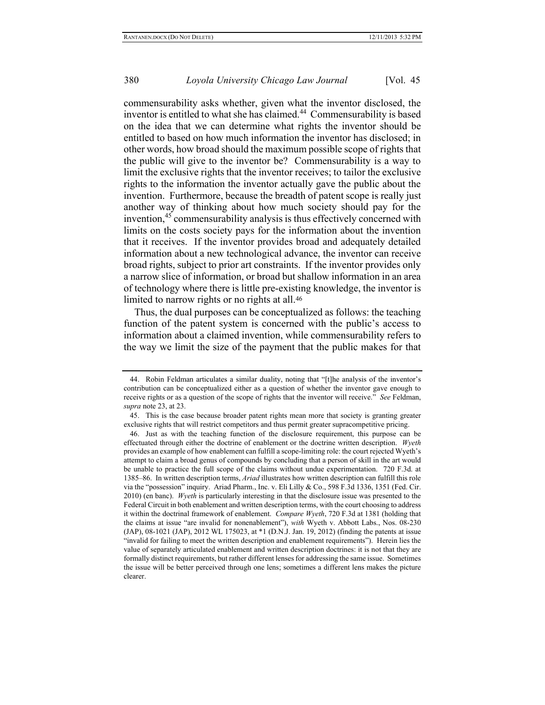commensurability asks whether, given what the inventor disclosed, the inventor is entitled to what she has claimed.<sup>44</sup> Commensurability is based on the idea that we can determine what rights the inventor should be entitled to based on how much information the inventor has disclosed; in other words, how broad should the maximum possible scope of rights that the public will give to the inventor be? Commensurability is a way to limit the exclusive rights that the inventor receives; to tailor the exclusive rights to the information the inventor actually gave the public about the invention. Furthermore, because the breadth of patent scope is really just another way of thinking about how much society should pay for the invention,<sup>45</sup> commensurability analysis is thus effectively concerned with limits on the costs society pays for the information about the invention that it receives. If the inventor provides broad and adequately detailed information about a new technological advance, the inventor can receive broad rights, subject to prior art constraints. If the inventor provides only a narrow slice of information, or broad but shallow information in an area of technology where there is little pre-existing knowledge, the inventor is limited to narrow rights or no rights at all.<sup>46</sup>

Thus, the dual purposes can be conceptualized as follows: the teaching function of the patent system is concerned with the public's access to information about a claimed invention, while commensurability refers to the way we limit the size of the payment that the public makes for that

<sup>44.</sup> Robin Feldman articulates a similar duality, noting that "[t]he analysis of the inventor's contribution can be conceptualized either as a question of whether the inventor gave enough to receive rights or as a question of the scope of rights that the inventor will receive." *See* Feldman, *supra* not[e 23,](#page-8-2) at 23.

<sup>45.</sup> This is the case because broader patent rights mean more that society is granting greater exclusive rights that will restrict competitors and thus permit greater supracompetitive pricing.

<sup>46.</sup> Just as with the teaching function of the disclosure requirement, this purpose can be effectuated through either the doctrine of enablement or the doctrine written description. *Wyeth*  provides an example of how enablement can fulfill a scope-limiting role: the court rejected Wyeth's attempt to claim a broad genus of compounds by concluding that a person of skill in the art would be unable to practice the full scope of the claims without undue experimentation. 720 F.3d. at 1385–86. In written description terms, *Ariad* illustrates how written description can fulfill this role via the "possession" inquiry. Ariad Pharm., Inc. v. Eli Lilly & Co., 598 F.3d 1336, 1351 (Fed. Cir. 2010) (en banc). *Wyeth* is particularly interesting in that the disclosure issue was presented to the Federal Circuit in both enablement and written description terms, with the court choosing to address it within the doctrinal framework of enablement. *Compare Wyeth*, 720 F.3d at 1381 (holding that the claims at issue "are invalid for nonenablement"), *with* Wyeth v. Abbott Labs., Nos. 08-230 (JAP), 08-1021 (JAP), 2012 WL 175023, at \*1 (D.N.J. Jan. 19, 2012) (finding the patents at issue "invalid for failing to meet the written description and enablement requirements"). Herein lies the value of separately articulated enablement and written description doctrines: it is not that they are formally distinct requirements, but rather different lenses for addressing the same issue. Sometimes the issue will be better perceived through one lens; sometimes a different lens makes the picture clearer.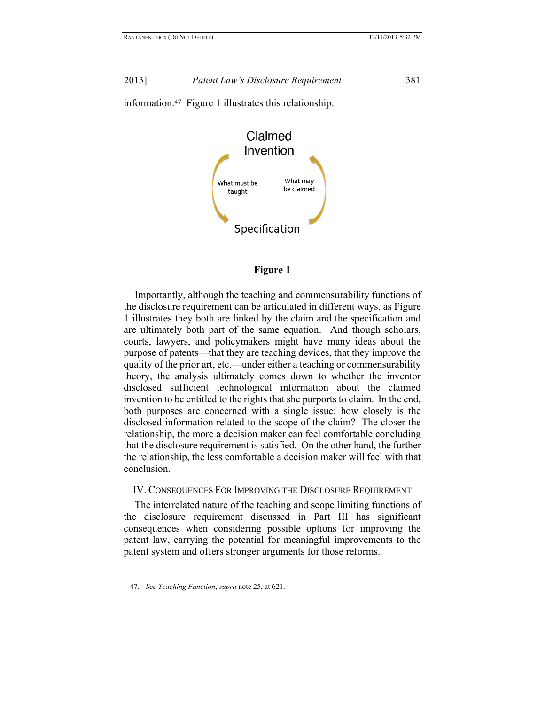



#### **Figure 1**

Importantly, although the teaching and commensurability functions of the disclosure requirement can be articulated in different ways, as Figure 1 illustrates they both are linked by the claim and the specification and are ultimately both part of the same equation. And though scholars, courts, lawyers, and policymakers might have many ideas about the purpose of patents—that they are teaching devices, that they improve the quality of the prior art, etc.—under either a teaching or commensurability theory, the analysis ultimately comes down to whether the inventor disclosed sufficient technological information about the claimed invention to be entitled to the rights that she purports to claim. In the end, both purposes are concerned with a single issue: how closely is the disclosed information related to the scope of the claim? The closer the relationship, the more a decision maker can feel comfortable concluding that the disclosure requirement is satisfied. On the other hand, the further the relationship, the less comfortable a decision maker will feel with that conclusion.

IV. CONSEQUENCES FOR IMPROVING THE DISCLOSURE REQUIREMENT

The interrelated nature of the teaching and scope limiting functions of the disclosure requirement discussed in Part III has significant consequences when considering possible options for improving the patent law, carrying the potential for meaningful improvements to the patent system and offers stronger arguments for those reforms.

<sup>47.</sup> *See Teaching Function*, *supra* not[e 25,](#page-8-0) at 621.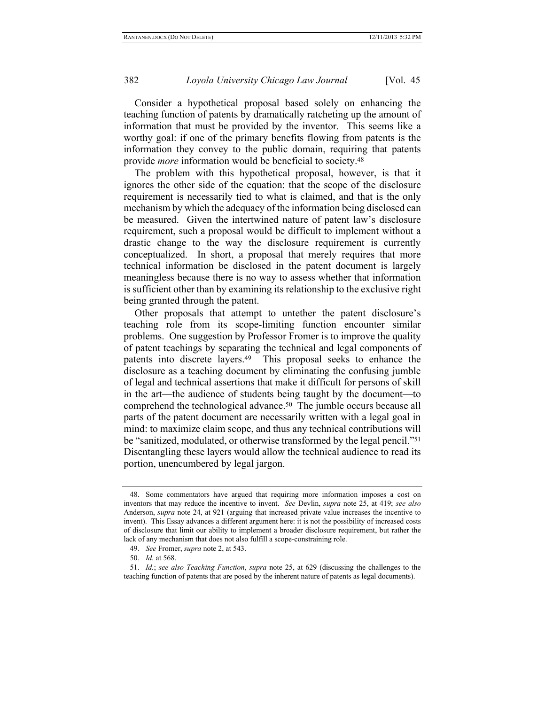Consider a hypothetical proposal based solely on enhancing the teaching function of patents by dramatically ratcheting up the amount of information that must be provided by the inventor. This seems like a worthy goal: if one of the primary benefits flowing from patents is the information they convey to the public domain, requiring that patents provide *more* information would be beneficial to society.<sup>48</sup>

The problem with this hypothetical proposal, however, is that it ignores the other side of the equation: that the scope of the disclosure requirement is necessarily tied to what is claimed, and that is the only mechanism by which the adequacy of the information being disclosed can be measured. Given the intertwined nature of patent law's disclosure requirement, such a proposal would be difficult to implement without a drastic change to the way the disclosure requirement is currently conceptualized. In short, a proposal that merely requires that more technical information be disclosed in the patent document is largely meaningless because there is no way to assess whether that information is sufficient other than by examining its relationship to the exclusive right being granted through the patent.

Other proposals that attempt to untether the patent disclosure's teaching role from its scope-limiting function encounter similar problems. One suggestion by Professor Fromer is to improve the quality of patent teachings by separating the technical and legal components of patents into discrete layers.49 This proposal seeks to enhance the disclosure as a teaching document by eliminating the confusing jumble of legal and technical assertions that make it difficult for persons of skill in the art—the audience of students being taught by the document—to comprehend the technological advance.50 The jumble occurs because all parts of the patent document are necessarily written with a legal goal in mind: to maximize claim scope, and thus any technical contributions will be "sanitized, modulated, or otherwise transformed by the legal pencil."<sup>51</sup> Disentangling these layers would allow the technical audience to read its portion, unencumbered by legal jargon.

<sup>48.</sup> Some commentators have argued that requiring more information imposes a cost on inventors that may reduce the incentive to invent. *See* Devlin, *supra* note [25,](#page-8-0) at 419; *see also* Anderson, *supra* note [24,](#page-8-1) at 921 (arguing that increased private value increases the incentive to invent). This Essay advances a different argument here: it is not the possibility of increased costs of disclosure that limit our ability to implement a broader disclosure requirement, but rather the lack of any mechanism that does not also fulfill a scope-constraining role.

<sup>49.</sup> *See* Fromer, *supra* not[e 2,](#page-2-0) at 543.

<sup>50.</sup> *Id.* at 568.

<sup>51.</sup> *Id.*; *see also Teaching Function*, *supra* note [25,](#page-8-0) at 629 (discussing the challenges to the teaching function of patents that are posed by the inherent nature of patents as legal documents).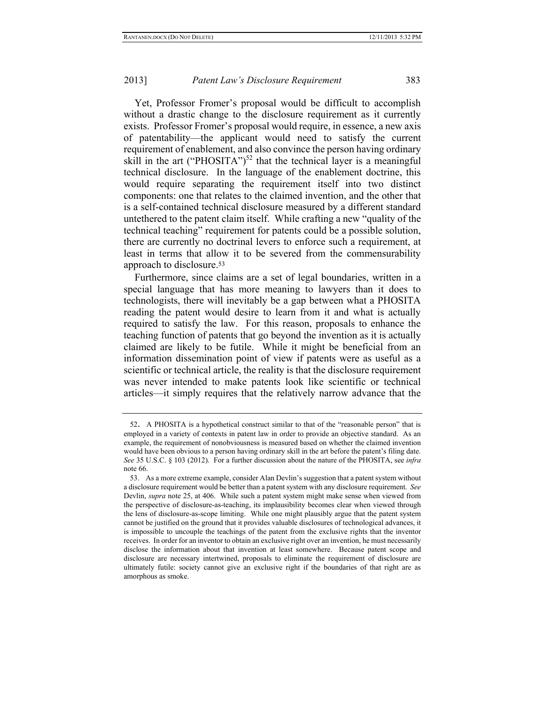Yet, Professor Fromer's proposal would be difficult to accomplish without a drastic change to the disclosure requirement as it currently exists. Professor Fromer's proposal would require, in essence, a new axis of patentability—the applicant would need to satisfy the current requirement of enablement, and also convince the person having ordinary skill in the art ("PHOSITA")<sup>52</sup> that the technical layer is a meaningful technical disclosure. In the language of the enablement doctrine, this would require separating the requirement itself into two distinct components: one that relates to the claimed invention, and the other that is a self-contained technical disclosure measured by a different standard untethered to the patent claim itself. While crafting a new "quality of the technical teaching" requirement for patents could be a possible solution, there are currently no doctrinal levers to enforce such a requirement, at least in terms that allow it to be severed from the commensurability approach to disclosure.<sup>53</sup>

Furthermore, since claims are a set of legal boundaries, written in a special language that has more meaning to lawyers than it does to technologists, there will inevitably be a gap between what a PHOSITA reading the patent would desire to learn from it and what is actually required to satisfy the law. For this reason, proposals to enhance the teaching function of patents that go beyond the invention as it is actually claimed are likely to be futile. While it might be beneficial from an information dissemination point of view if patents were as useful as a scientific or technical article, the reality is that the disclosure requirement was never intended to make patents look like scientific or technical articles—it simply requires that the relatively narrow advance that the

<sup>52</sup>. A PHOSITA is a hypothetical construct similar to that of the "reasonable person" that is employed in a variety of contexts in patent law in order to provide an objective standard. As an example, the requirement of nonobviousness is measured based on whether the claimed invention would have been obvious to a person having ordinary skill in the art before the patent's filing date. *See* 35 U.S.C. § 103 (2012). For a further discussion about the nature of the PHOSITA, see *infra* note [66.](#page-18-0)

<sup>53.</sup> As a more extreme example, consider Alan Devlin's suggestion that a patent system without a disclosure requirement would be better than a patent system with any disclosure requirement. *See*  Devlin, *supra* note [25,](#page-8-0) at 406. While such a patent system might make sense when viewed from the perspective of disclosure-as-teaching, its implausibility becomes clear when viewed through the lens of disclosure-as-scope limiting. While one might plausibly argue that the patent system cannot be justified on the ground that it provides valuable disclosures of technological advances, it is impossible to uncouple the teachings of the patent from the exclusive rights that the inventor receives. In order for an inventor to obtain an exclusive right over an invention, he must necessarily disclose the information about that invention at least somewhere. Because patent scope and disclosure are necessary intertwined, proposals to eliminate the requirement of disclosure are ultimately futile: society cannot give an exclusive right if the boundaries of that right are as amorphous as smoke.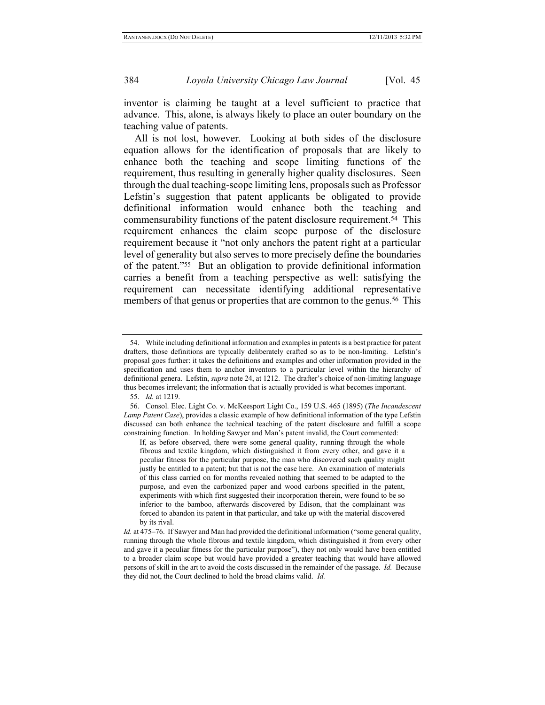inventor is claiming be taught at a level sufficient to practice that advance. This, alone, is always likely to place an outer boundary on the teaching value of patents.

All is not lost, however. Looking at both sides of the disclosure equation allows for the identification of proposals that are likely to enhance both the teaching and scope limiting functions of the requirement, thus resulting in generally higher quality disclosures. Seen through the dual teaching-scope limiting lens, proposals such as Professor Lefstin's suggestion that patent applicants be obligated to provide definitional information would enhance both the teaching and commensurability functions of the patent disclosure requirement.54 This requirement enhances the claim scope purpose of the disclosure requirement because it "not only anchors the patent right at a particular level of generality but also serves to more precisely define the boundaries of the patent."55 But an obligation to provide definitional information carries a benefit from a teaching perspective as well: satisfying the requirement can necessitate identifying additional representative members of that genus or properties that are common to the genus.<sup>56</sup> This

<sup>54.</sup> While including definitional information and examples in patents is a best practice for patent drafters, those definitions are typically deliberately crafted so as to be non-limiting. Lefstin's proposal goes further: it takes the definitions and examples and other information provided in the specification and uses them to anchor inventors to a particular level within the hierarchy of definitional genera. Lefstin, *supra* not[e 24,](#page-8-1) at 1212. The drafter's choice of non-limiting language thus becomes irrelevant; the information that is actually provided is what becomes important.

<sup>55.</sup> *Id.* at 1219.

<sup>56.</sup> Consol. Elec. Light Co. v. McKeesport Light Co., 159 U.S. 465 (1895) (*The Incandescent Lamp Patent Case*), provides a classic example of how definitional information of the type Lefstin discussed can both enhance the technical teaching of the patent disclosure and fulfill a scope constraining function. In holding Sawyer and Man's patent invalid, the Court commented:

If, as before observed, there were some general quality, running through the whole fibrous and textile kingdom, which distinguished it from every other, and gave it a peculiar fitness for the particular purpose, the man who discovered such quality might justly be entitled to a patent; but that is not the case here. An examination of materials of this class carried on for months revealed nothing that seemed to be adapted to the purpose, and even the carbonized paper and wood carbons specified in the patent, experiments with which first suggested their incorporation therein, were found to be so inferior to the bamboo, afterwards discovered by Edison, that the complainant was forced to abandon its patent in that particular, and take up with the material discovered by its rival.

*Id.* at 475–76. If Sawyer and Man had provided the definitional information ("some general quality, running through the whole fibrous and textile kingdom, which distinguished it from every other and gave it a peculiar fitness for the particular purpose"), they not only would have been entitled to a broader claim scope but would have provided a greater teaching that would have allowed persons of skill in the art to avoid the costs discussed in the remainder of the passage. *Id.* Because they did not, the Court declined to hold the broad claims valid. *Id.*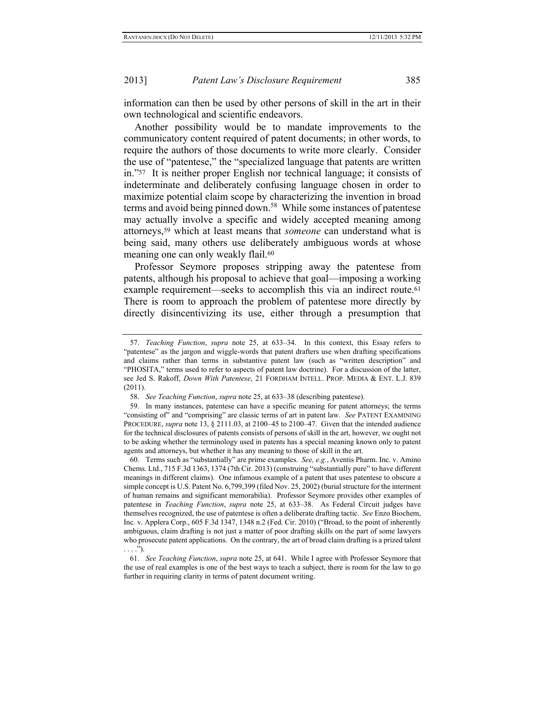information can then be used by other persons of skill in the art in their own technological and scientific endeavors.

Another possibility would be to mandate improvements to the communicatory content required of patent documents; in other words, to require the authors of those documents to write more clearly. Consider the use of "patentese," the "specialized language that patents are written in."57 It is neither proper English nor technical language; it consists of indeterminate and deliberately confusing language chosen in order to maximize potential claim scope by characterizing the invention in broad terms and avoid being pinned down.<sup>58</sup> While some instances of patentese may actually involve a specific and widely accepted meaning among attorneys, <sup>59</sup> which at least means that *someone* can understand what is being said, many others use deliberately ambiguous words at whose meaning one can only weakly flail.<sup>60</sup>

Professor Seymore proposes stripping away the patentese from patents, although his proposal to achieve that goal—imposing a working example requirement—seeks to accomplish this via an indirect route.<sup>61</sup> There is room to approach the problem of patentese more directly by directly disincentivizing its use, either through a presumption that

<sup>57.</sup> *Teaching Function*, *supra* note [25,](#page-8-0) at 633–34. In this context, this Essay refers to "patentese" as the jargon and wiggle-words that patent drafters use when drafting specifications and claims rather than terms in substantive patent law (such as "written description" and "PHOSITA," terms used to refer to aspects of patent law doctrine). For a discussion of the latter, see Jed S. Rakoff, *Down With Patentese*, 21 FORDHAM INTELL. PROP. MEDIA & ENT. L.J. 839 (2011).

<sup>58.</sup> *See Teaching Function*, *supra* not[e 25,](#page-8-0) at 633–38 (describing patentese).

<sup>59.</sup> In many instances, patentese can have a specific meaning for patent attorneys; the terms "consisting of" and "comprising" are classic terms of art in patent law. *See* PATENT EXAMINING PROCEDURE, *supra* not[e 13,](#page-5-0) § 2111.03, at 2100–45 to 2100–47. Given that the intended audience for the technical disclosures of patents consists of persons of skill in the art, however, we ought not to be asking whether the terminology used in patents has a special meaning known only to patent agents and attorneys, but whether it has any meaning to those of skill in the art.

<sup>60.</sup> Terms such as "substantially" are prime examples. *See, e.g.*, Aventis Pharm. Inc. v. Amino Chems. Ltd., 715 F.3d 1363, 1374 (7th Cir. 2013) (construing "substantially pure" to have different meanings in different claims).One infamous example of a patent that uses patentese to obscure a simple concept is U.S. Patent No. 6,799,399 (filed Nov. 25, 2002) (burial structure for the interment of human remains and significant memorabilia). Professor Seymore provides other examples of patentese in *Teaching Function*, *supra* note [25,](#page-8-0) at 633–38. As Federal Circuit judges have themselves recognized, the use of patentese is often a deliberate drafting tactic. *See* Enzo Biochem, Inc. v. Applera Corp., 605 F.3d 1347, 1348 n.2 (Fed. Cir. 2010) ("Broad, to the point of inherently ambiguous, claim drafting is not just a matter of poor drafting skills on the part of some lawyers who prosecute patent applications. On the contrary, the art of broad claim drafting is a prized talent  $\ldots$ .").

<sup>61.</sup> *See Teaching Function*, *supra* not[e 25,](#page-8-0) at 641. While I agree with Professor Seymore that the use of real examples is one of the best ways to teach a subject, there is room for the law to go further in requiring clarity in terms of patent document writing.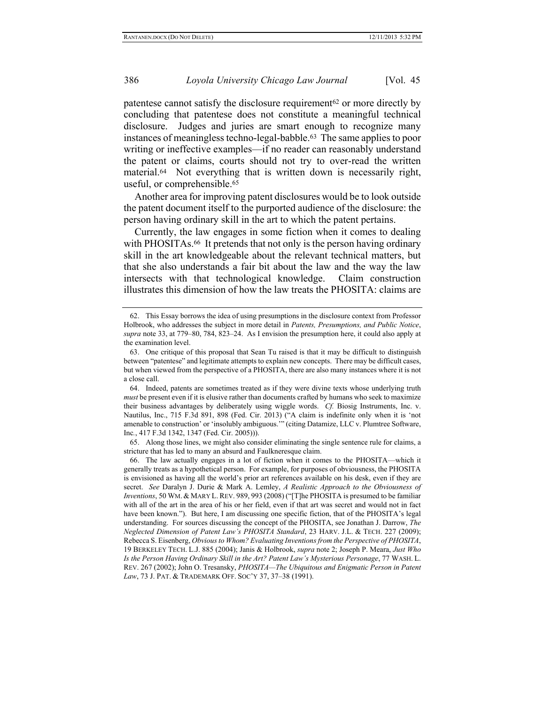patentese cannot satisfy the disclosure requirement<sup>62</sup> or more directly by concluding that patentese does not constitute a meaningful technical disclosure. Judges and juries are smart enough to recognize many instances of meaningless techno-legal-babble.63 The same applies to poor writing or ineffective examples—if no reader can reasonably understand the patent or claims, courts should not try to over-read the written material.64 Not everything that is written down is necessarily right, useful, or comprehensible.<sup>65</sup>

Another area for improving patent disclosures would be to look outside the patent document itself to the purported audience of the disclosure: the person having ordinary skill in the art to which the patent pertains.

<span id="page-18-0"></span>Currently, the law engages in some fiction when it comes to dealing with PHOSITAs.<sup>66</sup> It pretends that not only is the person having ordinary skill in the art knowledgeable about the relevant technical matters, but that she also understands a fair bit about the law and the way the law intersects with that technological knowledge. Claim construction illustrates this dimension of how the law treats the PHOSITA: claims are

64. Indeed, patents are sometimes treated as if they were divine texts whose underlying truth *must* be present even if it is elusive rather than documents crafted by humans who seek to maximize their business advantages by deliberately using wiggle words. *Cf.* Biosig Instruments, Inc. v. Nautilus, Inc., 715 F.3d 891, 898 (Fed. Cir. 2013) ("A claim is indefinite only when it is 'not amenable to construction' or 'insolubly ambiguous.'" (citing Datamize, LLC v. Plumtree Software, Inc*.*, 417 F.3d 1342, 1347 (Fed. Cir. 2005))).

65. Along those lines, we might also consider eliminating the single sentence rule for claims, a stricture that has led to many an absurd and Faulkneresque claim.

66. The law actually engages in a lot of fiction when it comes to the PHOSITA—which it generally treats as a hypothetical person. For example, for purposes of obviousness, the PHOSITA is envisioned as having all the world's prior art references available on his desk, even if they are secret. *See* Daralyn J. Durie & Mark A. Lemley, *A Realistic Approach to the Obviousness of Inventions*, 50 WM. & MARY L.REV. 989, 993 (2008) ("[T]he PHOSITA is presumed to be familiar with all of the art in the area of his or her field, even if that art was secret and would not in fact have been known."). But here, I am discussing one specific fiction, that of the PHOSITA's legal understanding. For sources discussing the concept of the PHOSITA, see Jonathan J. Darrow, *The Neglected Dimension of Patent Law's PHOSITA Standard*, 23 HARV. J.L. & TECH. 227 (2009); Rebecca S. Eisenberg, *Obvious to Whom? Evaluating Inventions from the Perspective of PHOSITA*, 19 BERKELEY TECH. L.J. 885 (2004); Janis & Holbrook, *supra* not[e 2;](#page-2-0) Joseph P. Meara, *Just Who Is the Person Having Ordinary Skill in the Art? Patent Law's Mysterious Personage*, 77 WASH. L. REV. 267 (2002); John O. Tresansky, *PHOSITA—The Ubiquitous and Enigmatic Person in Patent Law*, 73 J. PAT. & TRADEMARK OFF. SOC'Y 37, 37–38 (1991).

<sup>62.</sup> This Essay borrows the idea of using presumptions in the disclosure context from Professor Holbrook, who addresses the subject in more detail in *Patents, Presumptions, and Public Notice*, *supra* not[e 33,](#page-9-0) at 779–80, 784, 823–24. As I envision the presumption here, it could also apply at the examination level.

<sup>63.</sup> One critique of this proposal that Sean Tu raised is that it may be difficult to distinguish between "patentese" and legitimate attempts to explain new concepts. There may be difficult cases, but when viewed from the perspective of a PHOSITA, there are also many instances where it is not a close call.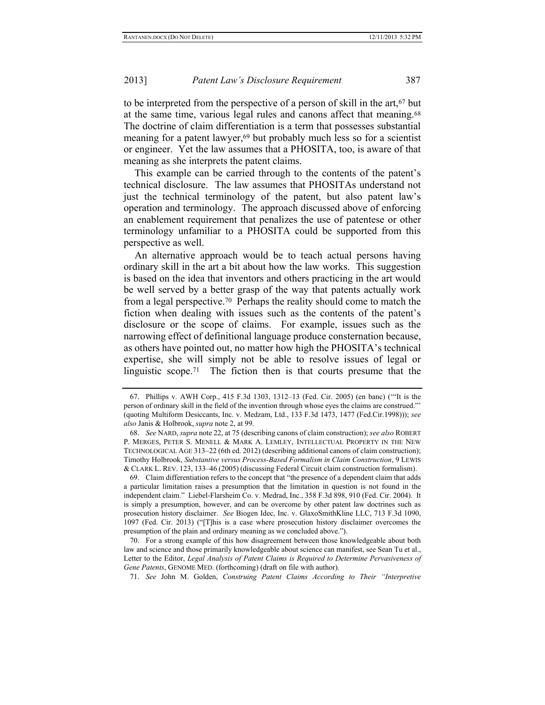to be interpreted from the perspective of a person of skill in the art,<sup>67</sup> but at the same time, various legal rules and canons affect that meaning.<sup>68</sup> The doctrine of claim differentiation is a term that possesses substantial meaning for a patent lawyer,<sup>69</sup> but probably much less so for a scientist or engineer. Yet the law assumes that a PHOSITA, too, is aware of that meaning as she interprets the patent claims.

This example can be carried through to the contents of the patent's technical disclosure. The law assumes that PHOSITAs understand not just the technical terminology of the patent, but also patent law's operation and terminology. The approach discussed above of enforcing an enablement requirement that penalizes the use of patentese or other terminology unfamiliar to a PHOSITA could be supported from this perspective as well.

An alternative approach would be to teach actual persons having ordinary skill in the art a bit about how the law works. This suggestion is based on the idea that inventors and others practicing in the art would be well served by a better grasp of the way that patents actually work from a legal perspective.70 Perhaps the reality should come to match the fiction when dealing with issues such as the contents of the patent's disclosure or the scope of claims. For example, issues such as the narrowing effect of definitional language produce consternation because, as others have pointed out, no matter how high the PHOSITA's technical expertise, she will simply not be able to resolve issues of legal or linguistic scope.71 The fiction then is that courts presume that the

71. *See* John M. Golden, *Construing Patent Claims According to Their "Interpretive* 

<sup>67.</sup> Phillips v. AWH Corp., 415 F.3d 1303, 1312–13 (Fed. Cir. 2005) (en banc) ('"It is the person of ordinary skill in the field of the invention through whose eyes the claims are construed."' (quoting Multiform Desiccants, Inc. v. Medzam, Ltd., 133 F.3d 1473, 1477 (Fed.Cir.1998))); *see also* Janis & Holbrook, *supra* not[e 2,](#page-2-0) at 99.

<sup>68.</sup> *See* NARD, *supra* not[e 22,](#page-7-1) at 75 (describing canons of claim construction); *see also* ROBERT P. MERGES, PETER S. MENELL & MARK A. LEMLEY, INTELLECTUAL PROPERTY IN THE NEW TECHNOLOGICAL AGE 313–22 (6th ed. 2012) (describing additional canons of claim construction); Timothy Holbrook, *Substantive versus Process-Based Formalism in Claim Construction*, 9 LEWIS & CLARK L. REV. 123, 133–46 (2005) (discussing Federal Circuit claim construction formalism).

<sup>69.</sup> Claim differentiation refers to the concept that "the presence of a dependent claim that adds a particular limitation raises a presumption that the limitation in question is not found in the independent claim." Liebel-Flarsheim Co. v. Medrad, Inc., 358 F.3d 898, 910 (Fed. Cir. 2004). It is simply a presumption, however, and can be overcome by other patent law doctrines such as prosecution history disclaimer. *See* Biogen Idec, Inc. v. GlaxoSmithKline LLC, 713 F.3d 1090, 1097 (Fed. Cir. 2013) ("[T]his is a case where prosecution history disclaimer overcomes the presumption of the plain and ordinary meaning as we concluded above.").

<sup>70.</sup> For a strong example of this how disagreement between those knowledgeable about both law and science and those primarily knowledgeable about science can manifest, see Sean Tu et al., Letter to the Editor, *Legal Analysis of Patent Claims is Required to Determine Pervasiveness of Gene Patents*, GENOME MED. (forthcoming) (draft on file with author).